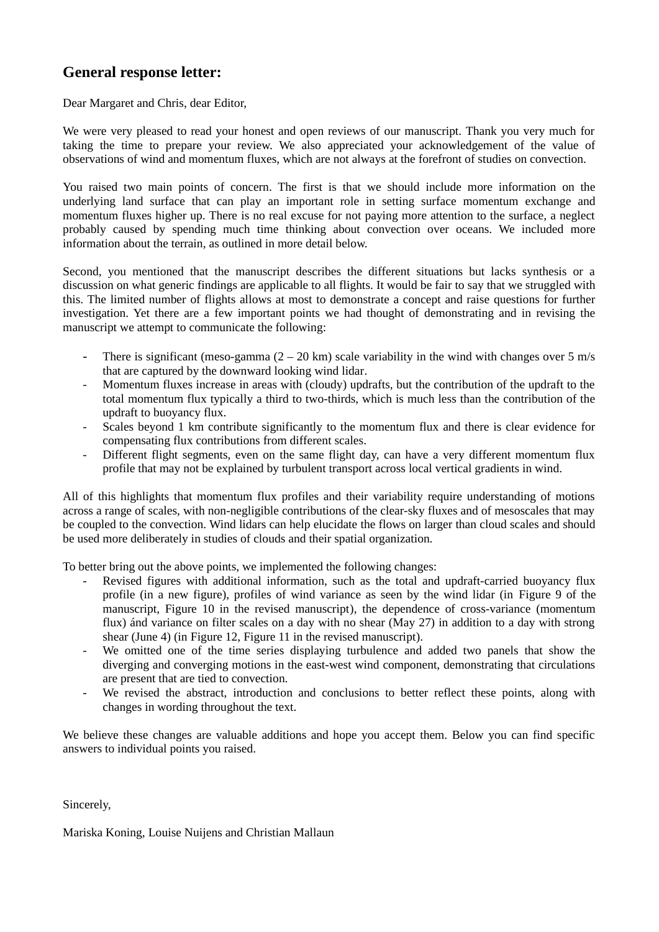# **General response letter:**

Dear Margaret and Chris, dear Editor,

We were very pleased to read your honest and open reviews of our manuscript. Thank you very much for taking the time to prepare your review. We also appreciated your acknowledgement of the value of observations of wind and momentum fluxes, which are not always at the forefront of studies on convection.

You raised two main points of concern. The first is that we should include more information on the underlying land surface that can play an important role in setting surface momentum exchange and momentum fluxes higher up. There is no real excuse for not paying more attention to the surface, a neglect probably caused by spending much time thinking about convection over oceans. We included more information about the terrain, as outlined in more detail below.

Second, you mentioned that the manuscript describes the different situations but lacks synthesis or a discussion on what generic findings are applicable to all flights. It would be fair to say that we struggled with this. The limited number of flights allows at most to demonstrate a concept and raise questions for further investigation. Yet there are a few important points we had thought of demonstrating and in revising the manuscript we attempt to communicate the following:

- There is significant (meso-gamma  $(2 20 \text{ km})$  scale variability in the wind with changes over 5 m/s that are captured by the downward looking wind lidar.
- Momentum fluxes increase in areas with (cloudy) updrafts, but the contribution of the updraft to the total momentum flux typically a third to two-thirds, which is much less than the contribution of the updraft to buoyancy flux.
- Scales beyond 1 km contribute significantly to the momentum flux and there is clear evidence for compensating flux contributions from different scales.
- Different flight segments, even on the same flight day, can have a very different momentum flux profile that may not be explained by turbulent transport across local vertical gradients in wind.

All of this highlights that momentum flux profiles and their variability require understanding of motions across a range of scales, with non-negligible contributions of the clear-sky fluxes and of mesoscales that may be coupled to the convection. Wind lidars can help elucidate the flows on larger than cloud scales and should be used more deliberately in studies of clouds and their spatial organization.

To better bring out the above points, we implemented the following changes:

- Revised figures with additional information, such as the total and updraft-carried buoyancy flux profile (in a new figure), profiles of wind variance as seen by the wind lidar (in Figure 9 of the manuscript, Figure 10 in the revised manuscript), the dependence of cross-variance (momentum flux) ánd variance on filter scales on a day with no shear (May 27) in addition to a day with strong shear (June 4) (in Figure 12, Figure 11 in the revised manuscript).
- We omitted one of the time series displaying turbulence and added two panels that show the diverging and converging motions in the east-west wind component, demonstrating that circulations are present that are tied to convection.
- We revised the abstract, introduction and conclusions to better reflect these points, along with changes in wording throughout the text.

We believe these changes are valuable additions and hope you accept them. Below you can find specific answers to individual points you raised.

Sincerely,

Mariska Koning, Louise Nuijens and Christian Mallaun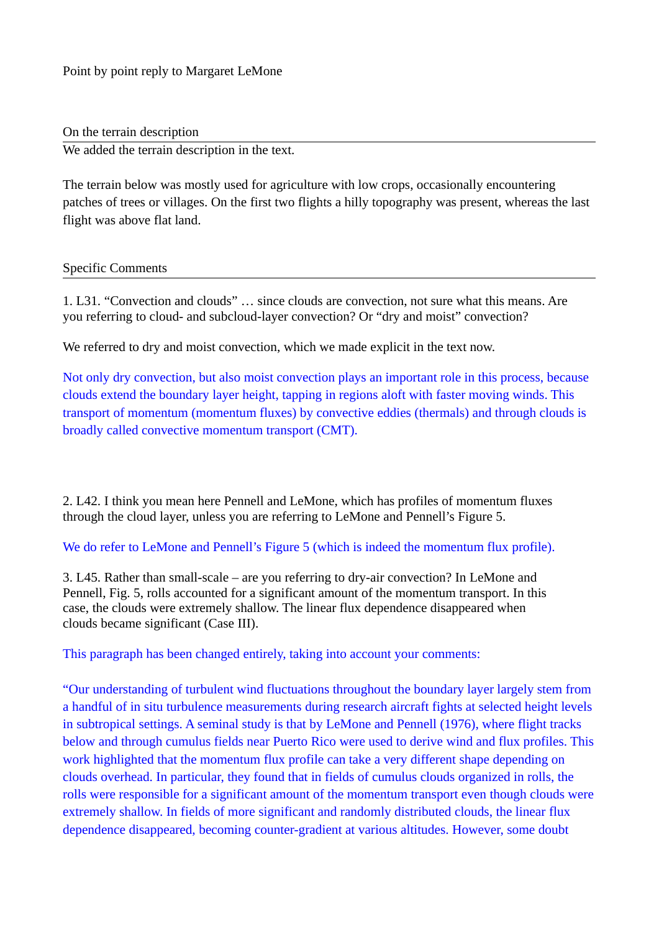On the terrain description

We added the terrain description in the text.

The terrain below was mostly used for agriculture with low crops, occasionally encountering patches of trees or villages. On the first two flights a hilly topography was present, whereas the last flight was above flat land.

### Specific Comments

1. L31. "Convection and clouds" … since clouds are convection, not sure what this means. Are you referring to cloud- and subcloud-layer convection? Or "dry and moist" convection?

We referred to dry and moist convection, which we made explicit in the text now.

Not only dry convection, but also moist convection plays an important role in this process, because clouds extend the boundary layer height, tapping in regions aloft with faster moving winds. This transport of momentum (momentum fluxes) by convective eddies (thermals) and through clouds is broadly called convective momentum transport (CMT).

2. L42. I think you mean here Pennell and LeMone, which has profiles of momentum fluxes through the cloud layer, unless you are referring to LeMone and Pennell's Figure 5.

## We do refer to LeMone and Pennell's Figure 5 (which is indeed the momentum flux profile).

3. L45. Rather than small-scale – are you referring to dry-air convection? In LeMone and Pennell, Fig. 5, rolls accounted for a significant amount of the momentum transport. In this case, the clouds were extremely shallow. The linear flux dependence disappeared when clouds became significant (Case III).

This paragraph has been changed entirely, taking into account your comments:

"Our understanding of turbulent wind fluctuations throughout the boundary layer largely stem from a handful of in situ turbulence measurements during research aircraft fights at selected height levels in subtropical settings. A seminal study is that by LeMone and Pennell (1976), where flight tracks below and through cumulus fields near Puerto Rico were used to derive wind and flux profiles. This work highlighted that the momentum flux profile can take a very different shape depending on clouds overhead. In particular, they found that in fields of cumulus clouds organized in rolls, the rolls were responsible for a significant amount of the momentum transport even though clouds were extremely shallow. In fields of more significant and randomly distributed clouds, the linear flux dependence disappeared, becoming counter-gradient at various altitudes. However, some doubt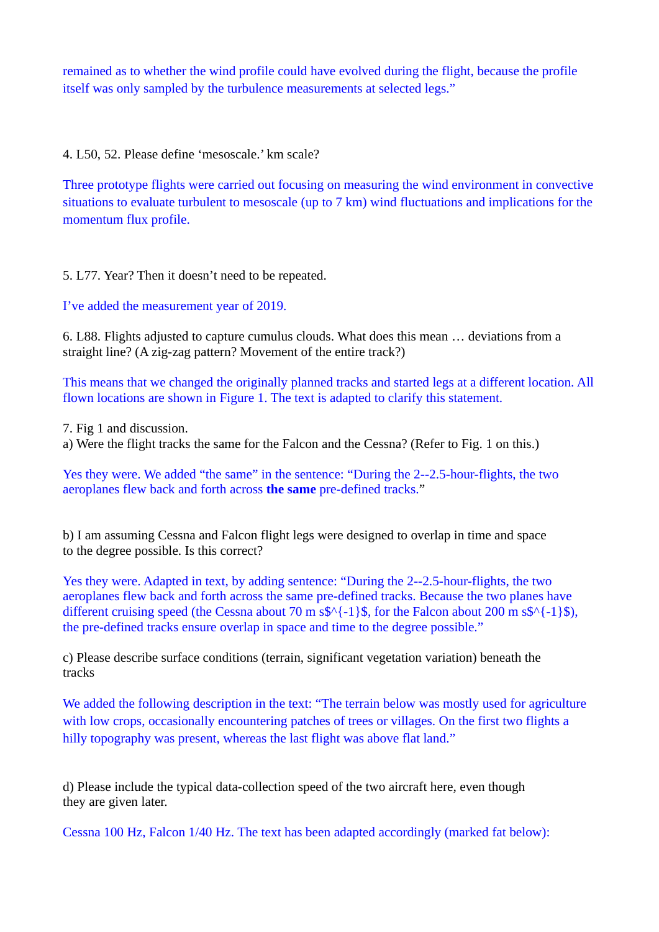remained as to whether the wind profile could have evolved during the flight, because the profile itself was only sampled by the turbulence measurements at selected legs."

4. L50, 52. Please define 'mesoscale.' km scale?

Three prototype flights were carried out focusing on measuring the wind environment in convective situations to evaluate turbulent to mesoscale (up to 7 km) wind fluctuations and implications for the momentum flux profile.

5. L77. Year? Then it doesn't need to be repeated.

I've added the measurement year of 2019.

6. L88. Flights adjusted to capture cumulus clouds. What does this mean … deviations from a straight line? (A zig-zag pattern? Movement of the entire track?)

This means that we changed the originally planned tracks and started legs at a different location. All flown locations are shown in Figure 1. The text is adapted to clarify this statement.

7. Fig 1 and discussion.

a) Were the flight tracks the same for the Falcon and the Cessna? (Refer to Fig. 1 on this.)

Yes they were. We added "the same" in the sentence: "During the 2--2.5-hour-flights, the two aeroplanes flew back and forth across **the same** pre-defined tracks."

b) I am assuming Cessna and Falcon flight legs were designed to overlap in time and space to the degree possible. Is this correct?

Yes they were. Adapted in text, by adding sentence: "During the 2--2.5-hour-flights, the two aeroplanes flew back and forth across the same pre-defined tracks. Because the two planes have different cruising speed (the Cessna about 70 m s\$ $\{-1\}$ \$, for the Falcon about 200 m s\$ $\{-1\}$ \$), the pre-defined tracks ensure overlap in space and time to the degree possible."

c) Please describe surface conditions (terrain, significant vegetation variation) beneath the tracks

We added the following description in the text: "The terrain below was mostly used for agriculture with low crops, occasionally encountering patches of trees or villages. On the first two flights a hilly topography was present, whereas the last flight was above flat land."

d) Please include the typical data-collection speed of the two aircraft here, even though they are given later.

Cessna 100 Hz, Falcon 1/40 Hz. The text has been adapted accordingly (marked fat below):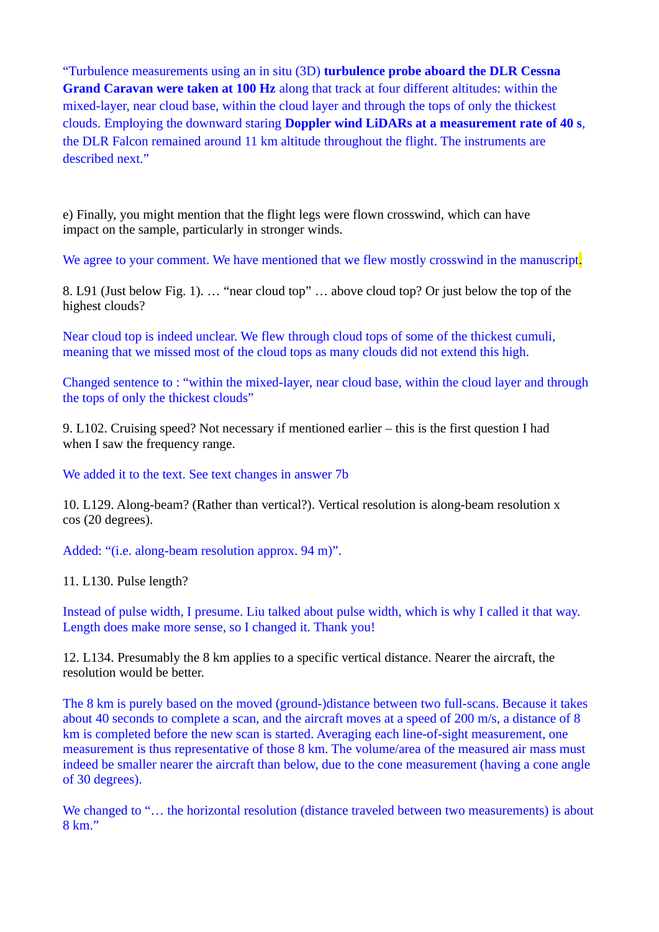"Turbulence measurements using an in situ (3D) **turbulence probe aboard the DLR Cessna Grand Caravan were taken at 100 Hz** along that track at four different altitudes: within the mixed-layer, near cloud base, within the cloud layer and through the tops of only the thickest clouds. Employing the downward staring **Doppler wind LiDARs at a measurement rate of 40 s**, the DLR Falcon remained around 11 km altitude throughout the flight. The instruments are described next."

e) Finally, you might mention that the flight legs were flown crosswind, which can have impact on the sample, particularly in stronger winds.

We agree to your comment. We have mentioned that we flew mostly crosswind in the manuscript.

8. L91 (Just below Fig. 1). … "near cloud top" … above cloud top? Or just below the top of the highest clouds?

Near cloud top is indeed unclear. We flew through cloud tops of some of the thickest cumuli, meaning that we missed most of the cloud tops as many clouds did not extend this high.

Changed sentence to : "within the mixed-layer, near cloud base, within the cloud layer and through the tops of only the thickest clouds"

9. L102. Cruising speed? Not necessary if mentioned earlier – this is the first question I had when I saw the frequency range.

We added it to the text. See text changes in answer 7b

10. L129. Along-beam? (Rather than vertical?). Vertical resolution is along-beam resolution x cos (20 degrees).

Added: "(i.e. along-beam resolution approx. 94 m)".

11. L130. Pulse length?

Instead of pulse width, I presume. Liu talked about pulse width, which is why I called it that way. Length does make more sense, so I changed it. Thank you!

12. L134. Presumably the 8 km applies to a specific vertical distance. Nearer the aircraft, the resolution would be better.

The 8 km is purely based on the moved (ground-)distance between two full-scans. Because it takes about 40 seconds to complete a scan, and the aircraft moves at a speed of 200 m/s, a distance of 8 km is completed before the new scan is started. Averaging each line-of-sight measurement, one measurement is thus representative of those 8 km. The volume/area of the measured air mass must indeed be smaller nearer the aircraft than below, due to the cone measurement (having a cone angle of 30 degrees).

We changed to "... the horizontal resolution (distance traveled between two measurements) is about 8 km."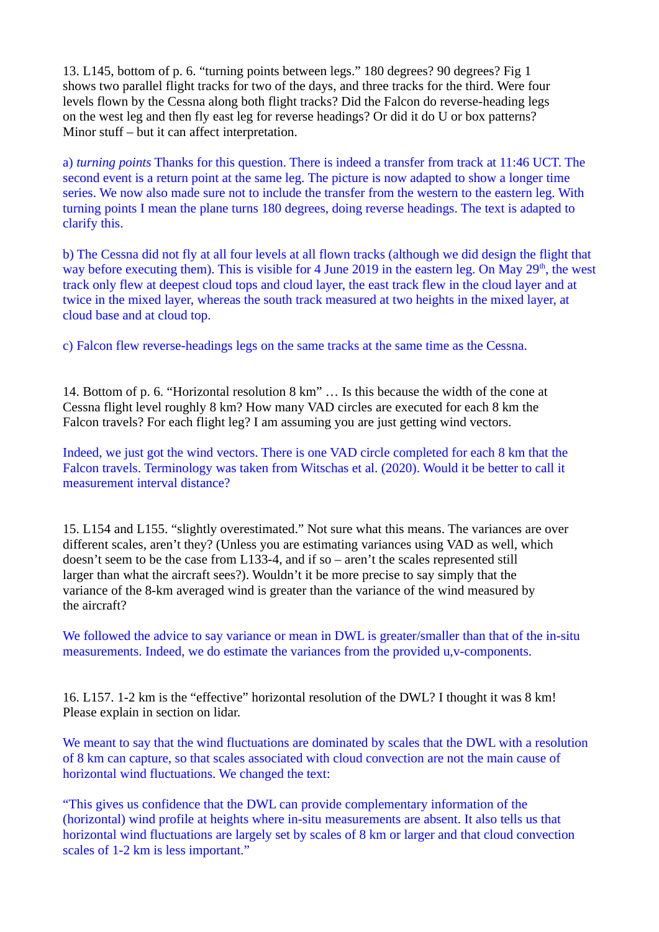13. L145, bottom of p. 6. "turning points between legs." 180 degrees? 90 degrees? Fig 1 shows two parallel flight tracks for two of the days, and three tracks for the third. Were four levels flown by the Cessna along both flight tracks? Did the Falcon do reverse-heading legs on the west leg and then fly east leg for reverse headings? Or did it do U or box patterns? Minor stuff – but it can affect interpretation.

a) *turning points* Thanks for this question. There is indeed a transfer from track at 11:46 UCT. The second event is a return point at the same leg. The picture is now adapted to show a longer time series. We now also made sure not to include the transfer from the western to the eastern leg. With turning points I mean the plane turns 180 degrees, doing reverse headings. The text is adapted to clarify this.

b) The Cessna did not fly at all four levels at all flown tracks (although we did design the flight that way before executing them). This is visible for 4 June 2019 in the eastern leg. On May  $29<sup>th</sup>$ , the west track only flew at deepest cloud tops and cloud layer, the east track flew in the cloud layer and at twice in the mixed layer, whereas the south track measured at two heights in the mixed layer, at cloud base and at cloud top.

c) Falcon flew reverse-headings legs on the same tracks at the same time as the Cessna.

14. Bottom of p. 6. "Horizontal resolution 8 km" … Is this because the width of the cone at Cessna flight level roughly 8 km? How many VAD circles are executed for each 8 km the Falcon travels? For each flight leg? I am assuming you are just getting wind vectors.

Indeed, we just got the wind vectors. There is one VAD circle completed for each 8 km that the Falcon travels. Terminology was taken from Witschas et al. (2020). Would it be better to call it measurement interval distance?

15. L154 and L155. "slightly overestimated." Not sure what this means. The variances are over different scales, aren't they? (Unless you are estimating variances using VAD as well, which doesn't seem to be the case from L133-4, and if so – aren't the scales represented still larger than what the aircraft sees?). Wouldn't it be more precise to say simply that the variance of the 8-km averaged wind is greater than the variance of the wind measured by the aircraft?

We followed the advice to say variance or mean in DWL is greater/smaller than that of the in-situ measurements. Indeed, we do estimate the variances from the provided u,v-components.

16. L157. 1-2 km is the "effective" horizontal resolution of the DWL? I thought it was 8 km! Please explain in section on lidar.

We meant to say that the wind fluctuations are dominated by scales that the DWL with a resolution of 8 km can capture, so that scales associated with cloud convection are not the main cause of horizontal wind fluctuations. We changed the text:

"This gives us confidence that the DWL can provide complementary information of the (horizontal) wind profile at heights where in-situ measurements are absent. It also tells us that horizontal wind fluctuations are largely set by scales of 8 km or larger and that cloud convection scales of 1-2 km is less important."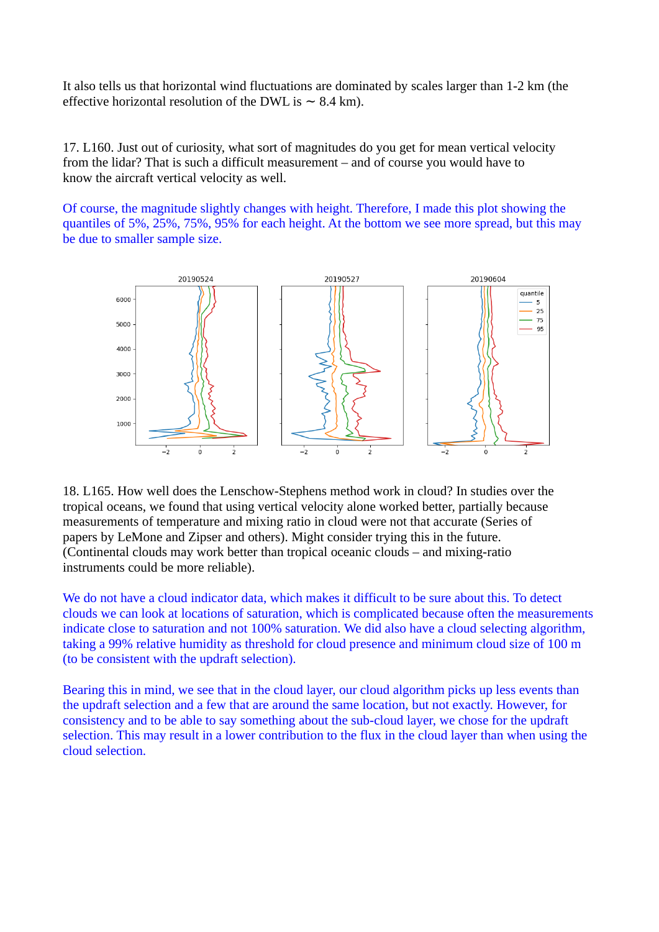It also tells us that horizontal wind fluctuations are dominated by scales larger than 1-2 km (the effective horizontal resolution of the DWL is  $\sim$  8.4 km).

17. L160. Just out of curiosity, what sort of magnitudes do you get for mean vertical velocity from the lidar? That is such a difficult measurement – and of course you would have to know the aircraft vertical velocity as well.

Of course, the magnitude slightly changes with height. Therefore, I made this plot showing the quantiles of 5%, 25%, 75%, 95% for each height. At the bottom we see more spread, but this may be due to smaller sample size.



18. L165. How well does the Lenschow-Stephens method work in cloud? In studies over the tropical oceans, we found that using vertical velocity alone worked better, partially because measurements of temperature and mixing ratio in cloud were not that accurate (Series of papers by LeMone and Zipser and others). Might consider trying this in the future. (Continental clouds may work better than tropical oceanic clouds – and mixing-ratio instruments could be more reliable).

We do not have a cloud indicator data, which makes it difficult to be sure about this. To detect clouds we can look at locations of saturation, which is complicated because often the measurements indicate close to saturation and not 100% saturation. We did also have a cloud selecting algorithm, taking a 99% relative humidity as threshold for cloud presence and minimum cloud size of 100 m (to be consistent with the updraft selection).

Bearing this in mind, we see that in the cloud layer, our cloud algorithm picks up less events than the updraft selection and a few that are around the same location, but not exactly. However, for consistency and to be able to say something about the sub-cloud layer, we chose for the updraft selection. This may result in a lower contribution to the flux in the cloud layer than when using the cloud selection.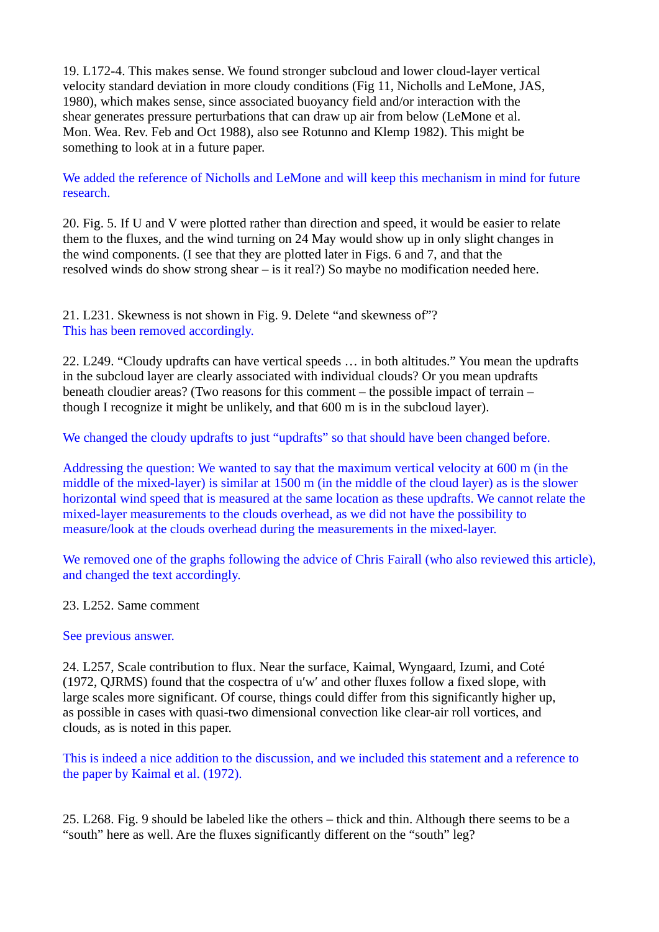19. L172-4. This makes sense. We found stronger subcloud and lower cloud-layer vertical velocity standard deviation in more cloudy conditions (Fig 11, Nicholls and LeMone, JAS, 1980), which makes sense, since associated buoyancy field and/or interaction with the shear generates pressure perturbations that can draw up air from below (LeMone et al. Mon. Wea. Rev. Feb and Oct 1988), also see Rotunno and Klemp 1982). This might be something to look at in a future paper.

We added the reference of Nicholls and LeMone and will keep this mechanism in mind for future research.

20. Fig. 5. If U and V were plotted rather than direction and speed, it would be easier to relate them to the fluxes, and the wind turning on 24 May would show up in only slight changes in the wind components. (I see that they are plotted later in Figs. 6 and 7, and that the resolved winds do show strong shear – is it real?) So maybe no modification needed here.

21. L231. Skewness is not shown in Fig. 9. Delete "and skewness of"? This has been removed accordingly.

22. L249. "Cloudy updrafts can have vertical speeds … in both altitudes." You mean the updrafts in the subcloud layer are clearly associated with individual clouds? Or you mean updrafts beneath cloudier areas? (Two reasons for this comment – the possible impact of terrain – though I recognize it might be unlikely, and that 600 m is in the subcloud layer).

We changed the cloudy updrafts to just "updrafts" so that should have been changed before.

Addressing the question: We wanted to say that the maximum vertical velocity at 600 m (in the middle of the mixed-layer) is similar at 1500 m (in the middle of the cloud layer) as is the slower horizontal wind speed that is measured at the same location as these updrafts. We cannot relate the mixed-layer measurements to the clouds overhead, as we did not have the possibility to measure/look at the clouds overhead during the measurements in the mixed-layer.

We removed one of the graphs following the advice of Chris Fairall (who also reviewed this article), and changed the text accordingly.

### 23. L252. Same comment

### See previous answer.

24. L257, Scale contribution to flux. Near the surface, Kaimal, Wyngaard, Izumi, and Coté (1972, QJRMS) found that the cospectra of u′w′ and other fluxes follow a fixed slope, with large scales more significant. Of course, things could differ from this significantly higher up, as possible in cases with quasi-two dimensional convection like clear-air roll vortices, and clouds, as is noted in this paper.

This is indeed a nice addition to the discussion, and we included this statement and a reference to the paper by Kaimal et al. (1972).

25. L268. Fig. 9 should be labeled like the others – thick and thin. Although there seems to be a "south" here as well. Are the fluxes significantly different on the "south" leg?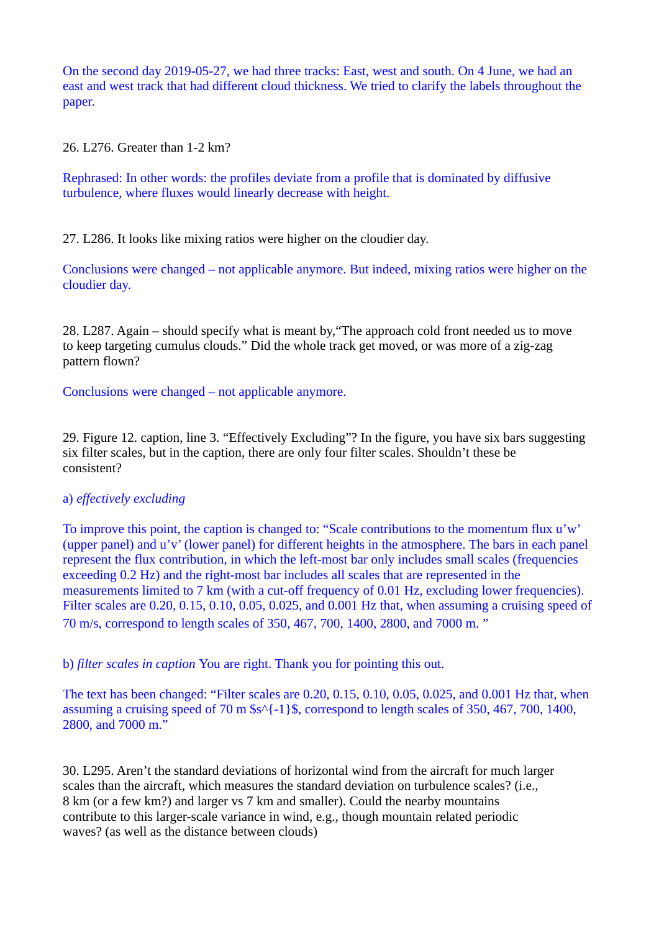On the second day 2019-05-27, we had three tracks: East, west and south. On 4 June, we had an east and west track that had different cloud thickness. We tried to clarify the labels throughout the paper.

26. L276. Greater than 1-2 km?

Rephrased: In other words: the profiles deviate from a profile that is dominated by diffusive turbulence, where fluxes would linearly decrease with height.

27. L286. It looks like mixing ratios were higher on the cloudier day.

Conclusions were changed – not applicable anymore. But indeed, mixing ratios were higher on the cloudier day.

28. L287. Again – should specify what is meant by,"The approach cold front needed us to move to keep targeting cumulus clouds." Did the whole track get moved, or was more of a zig-zag pattern flown?

Conclusions were changed – not applicable anymore.

29. Figure 12. caption, line 3. "Effectively Excluding"? In the figure, you have six bars suggesting six filter scales, but in the caption, there are only four filter scales. Shouldn't these be consistent?

### a) *effectively excluding*

To improve this point, the caption is changed to: "Scale contributions to the momentum flux u'w' (upper panel) and u'v' (lower panel) for different heights in the atmosphere. The bars in each panel represent the flux contribution, in which the left-most bar only includes small scales (frequencies exceeding 0.2 Hz) and the right-most bar includes all scales that are represented in the measurements limited to 7 km (with a cut-off frequency of 0.01 Hz, excluding lower frequencies). Filter scales are 0.20, 0.15, 0.10, 0.05, 0.025, and 0.001 Hz that, when assuming a cruising speed of 70 m/s, correspond to length scales of 350, 467, 700, 1400, 2800, and 7000 m. "

b) *filter scales in caption* You are right. Thank you for pointing this out.

The text has been changed: "Filter scales are 0.20, 0.15, 0.10, 0.05, 0.025, and 0.001 Hz that, when assuming a cruising speed of 70 m \$s^{-1}\$, correspond to length scales of 350, 467, 700, 1400, 2800, and 7000 m."

30. L295. Aren't the standard deviations of horizontal wind from the aircraft for much larger scales than the aircraft, which measures the standard deviation on turbulence scales? (i.e., 8 km (or a few km?) and larger vs 7 km and smaller). Could the nearby mountains contribute to this larger-scale variance in wind, e.g., though mountain related periodic waves? (as well as the distance between clouds)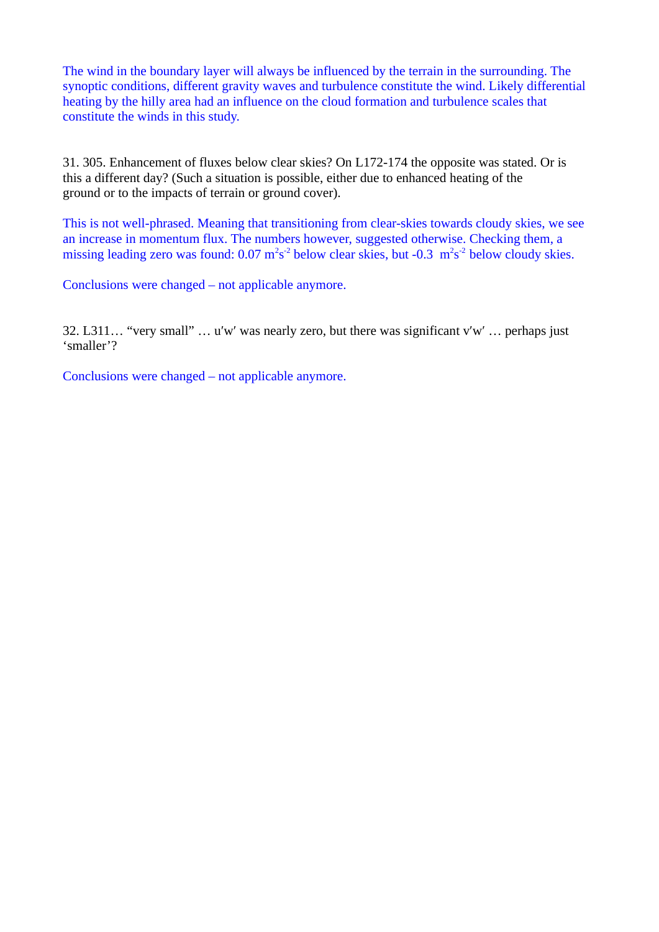The wind in the boundary layer will always be influenced by the terrain in the surrounding. The synoptic conditions, different gravity waves and turbulence constitute the wind. Likely differential heating by the hilly area had an influence on the cloud formation and turbulence scales that constitute the winds in this study.

31. 305. Enhancement of fluxes below clear skies? On L172-174 the opposite was stated. Or is this a different day? (Such a situation is possible, either due to enhanced heating of the ground or to the impacts of terrain or ground cover).

This is not well-phrased. Meaning that transitioning from clear-skies towards cloudy skies, we see an increase in momentum flux. The numbers however, suggested otherwise. Checking them, a missing leading zero was found:  $0.07 \text{ m}^2\text{s}^{-2}$  below clear skies, but -0.3  $\text{ m}^2\text{s}^{-2}$  below cloudy skies.

Conclusions were changed – not applicable anymore.

32. L311… "very small" … u′w′ was nearly zero, but there was significant v′w′ … perhaps just 'smaller'?

Conclusions were changed – not applicable anymore.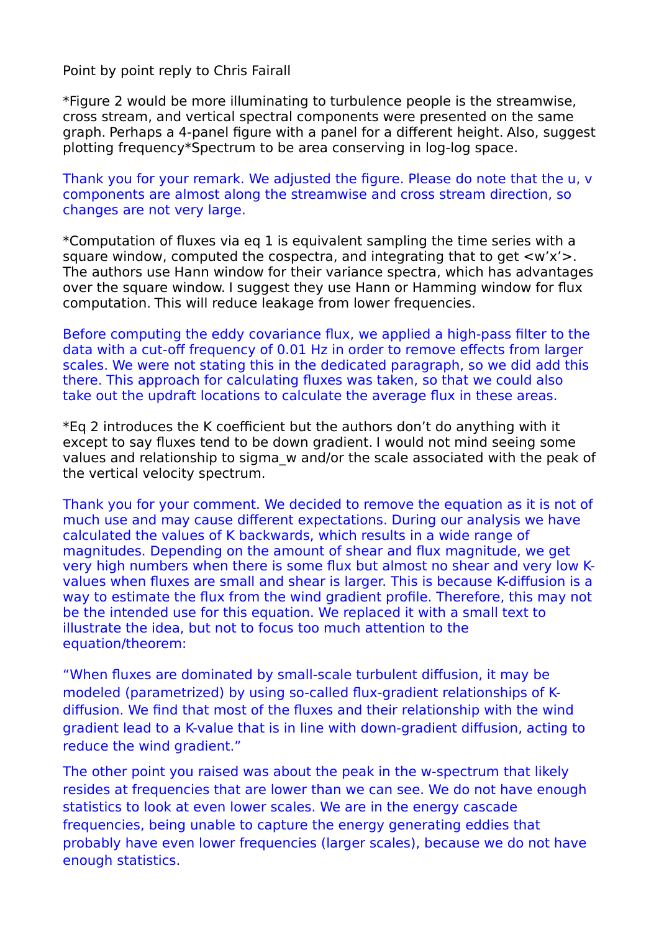Point by point reply to Chris Fairall

\*Figure 2 would be more illuminating to turbulence people is the streamwise, cross stream, and vertical spectral components were presented on the same graph. Perhaps a 4-panel figure with a panel for a different height. Also, suggest plotting frequency\*Spectrum to be area conserving in log-log space.

Thank you for your remark. We adjusted the figure. Please do note that the u, v components are almost along the streamwise and cross stream direction, so changes are not very large.

\*Computation of fluxes via eq 1 is equivalent sampling the time series with a square window, computed the cospectra, and integrating that to get  $\langle w'x'\rangle$ . The authors use Hann window for their variance spectra, which has advantages over the square window. I suggest they use Hann or Hamming window for flux computation. This will reduce leakage from lower frequencies.

Before computing the eddy covariance flux, we applied a high-pass filter to the data with a cut-off frequency of 0.01 Hz in order to remove effects from larger scales. We were not stating this in the dedicated paragraph, so we did add this there. This approach for calculating fluxes was taken, so that we could also take out the updraft locations to calculate the average flux in these areas.

\*Eq 2 introduces the K coefficient but the authors don't do anything with it except to say fluxes tend to be down gradient. I would not mind seeing some values and relationship to sigma\_w and/or the scale associated with the peak of the vertical velocity spectrum.

Thank you for your comment. We decided to remove the equation as it is not of much use and may cause different expectations. During our analysis we have calculated the values of K backwards, which results in a wide range of magnitudes. Depending on the amount of shear and flux magnitude, we get very high numbers when there is some flux but almost no shear and very low Kvalues when fluxes are small and shear is larger. This is because K-diffusion is a way to estimate the flux from the wind gradient profile. Therefore, this may not be the intended use for this equation. We replaced it with a small text to illustrate the idea, but not to focus too much attention to the equation/theorem:

"When fluxes are dominated by small-scale turbulent diffusion, it may be modeled (parametrized) by using so-called flux-gradient relationships of Kdiffusion. We find that most of the fluxes and their relationship with the wind gradient lead to a K-value that is in line with down-gradient diffusion, acting to reduce the wind gradient."

The other point you raised was about the peak in the w-spectrum that likely resides at frequencies that are lower than we can see. We do not have enough statistics to look at even lower scales. We are in the energy cascade frequencies, being unable to capture the energy generating eddies that probably have even lower frequencies (larger scales), because we do not have enough statistics.